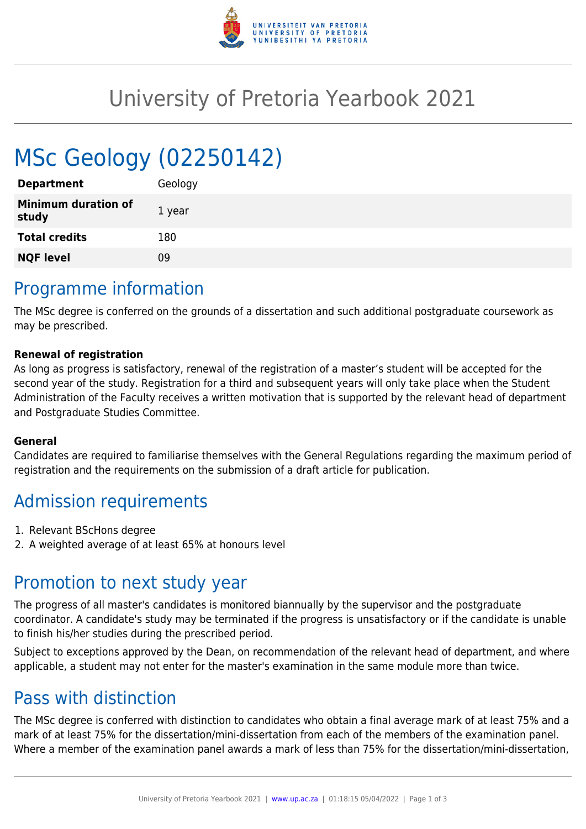

## University of Pretoria Yearbook 2021

# MSc Geology (02250142)

| <b>Department</b>                   | Geology |
|-------------------------------------|---------|
| <b>Minimum duration of</b><br>study | 1 year  |
| <b>Total credits</b>                | 180     |
| <b>NQF level</b>                    | 09      |
|                                     |         |

#### Programme information

The MSc degree is conferred on the grounds of a dissertation and such additional postgraduate coursework as may be prescribed.

#### **Renewal of registration**

As long as progress is satisfactory, renewal of the registration of a master's student will be accepted for the second year of the study. Registration for a third and subsequent years will only take place when the Student Administration of the Faculty receives a written motivation that is supported by the relevant head of department and Postgraduate Studies Committee.

#### **General**

Candidates are required to familiarise themselves with the General Regulations regarding the maximum period of registration and the requirements on the submission of a draft article for publication.

## Admission requirements

- 1. Relevant BScHons degree
- 2. A weighted average of at least 65% at honours level

### Promotion to next study year

The progress of all master's candidates is monitored biannually by the supervisor and the postgraduate coordinator. A candidate's study may be terminated if the progress is unsatisfactory or if the candidate is unable to finish his/her studies during the prescribed period.

Subject to exceptions approved by the Dean, on recommendation of the relevant head of department, and where applicable, a student may not enter for the master's examination in the same module more than twice.

### Pass with distinction

The MSc degree is conferred with distinction to candidates who obtain a final average mark of at least 75% and a mark of at least 75% for the dissertation/mini-dissertation from each of the members of the examination panel. Where a member of the examination panel awards a mark of less than 75% for the dissertation/mini-dissertation,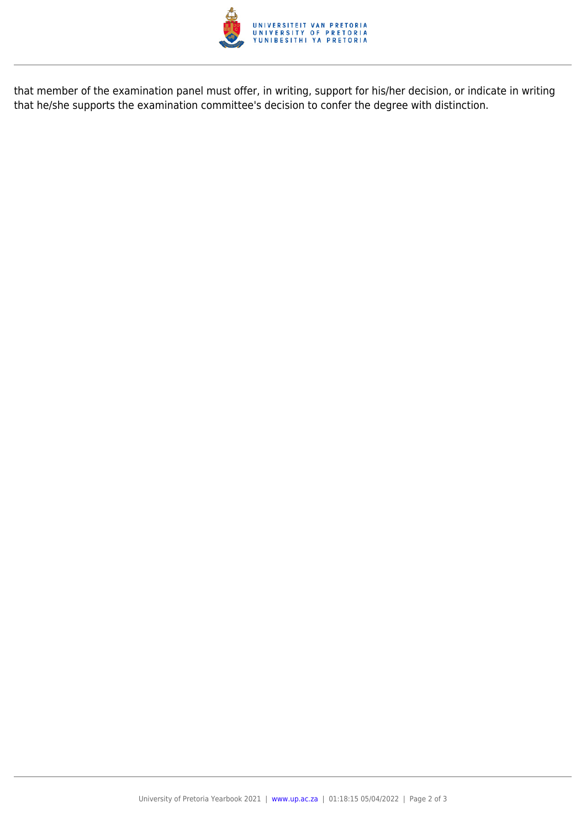

that member of the examination panel must offer, in writing, support for his/her decision, or indicate in writing that he/she supports the examination committee's decision to confer the degree with distinction.